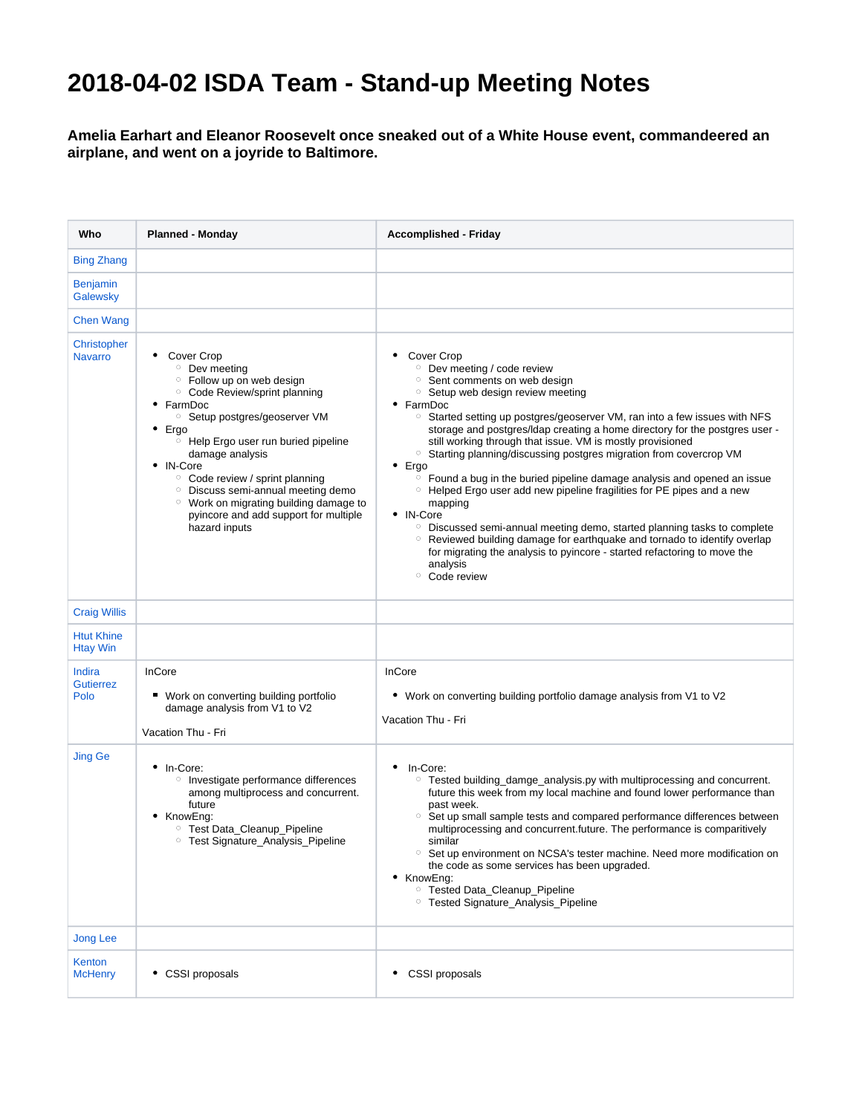## **2018-04-02 ISDA Team - Stand-up Meeting Notes**

## **Amelia Earhart and Eleanor Roosevelt once sneaked out of a White House event, commandeered an airplane, and went on a joyride to Baltimore.**

| Who                                  | <b>Planned - Monday</b>                                                                                                                                                                                                                                                                                                                                                                                                                                                                    | <b>Accomplished - Friday</b>                                                                                                                                                                                                                                                                                                                                                                                                                                                                                                                                                                                                                                                                                                                                                                                                                                                                                                                                                                              |
|--------------------------------------|--------------------------------------------------------------------------------------------------------------------------------------------------------------------------------------------------------------------------------------------------------------------------------------------------------------------------------------------------------------------------------------------------------------------------------------------------------------------------------------------|-----------------------------------------------------------------------------------------------------------------------------------------------------------------------------------------------------------------------------------------------------------------------------------------------------------------------------------------------------------------------------------------------------------------------------------------------------------------------------------------------------------------------------------------------------------------------------------------------------------------------------------------------------------------------------------------------------------------------------------------------------------------------------------------------------------------------------------------------------------------------------------------------------------------------------------------------------------------------------------------------------------|
| <b>Bing Zhang</b>                    |                                                                                                                                                                                                                                                                                                                                                                                                                                                                                            |                                                                                                                                                                                                                                                                                                                                                                                                                                                                                                                                                                                                                                                                                                                                                                                                                                                                                                                                                                                                           |
| <b>Benjamin</b><br>Galewsky          |                                                                                                                                                                                                                                                                                                                                                                                                                                                                                            |                                                                                                                                                                                                                                                                                                                                                                                                                                                                                                                                                                                                                                                                                                                                                                                                                                                                                                                                                                                                           |
| <b>Chen Wang</b>                     |                                                                                                                                                                                                                                                                                                                                                                                                                                                                                            |                                                                                                                                                                                                                                                                                                                                                                                                                                                                                                                                                                                                                                                                                                                                                                                                                                                                                                                                                                                                           |
| Christopher<br><b>Navarro</b>        | Cover Crop<br><b>O</b> Dev meeting<br><sup>o</sup> Follow up on web design<br><sup>o</sup> Code Review/sprint planning<br>• FarmDoc<br><sup>o</sup> Setup postgres/geoserver VM<br>• Ergo<br><sup>o</sup> Help Ergo user run buried pipeline<br>damage analysis<br>• IN-Core<br><sup>o</sup> Code review / sprint planning<br><sup>o</sup> Discuss semi-annual meeting demo<br><sup>o</sup> Work on migrating building damage to<br>pyincore and add support for multiple<br>hazard inputs | ٠<br>Cover Crop<br><sup>o</sup> Dev meeting / code review<br><sup>o</sup> Sent comments on web design<br><sup>o</sup> Setup web design review meeting<br>• FarmDoc<br>$\circ$ Started setting up postgres/geoserver VM, ran into a few issues with NFS<br>storage and postgres/Idap creating a home directory for the postgres user -<br>still working through that issue. VM is mostly provisioned<br><sup>o</sup> Starting planning/discussing postgres migration from covercrop VM<br>$\bullet$ Ergo<br>$\circ$ Found a bug in the buried pipeline damage analysis and opened an issue<br><sup>o</sup> Helped Ergo user add new pipeline fragilities for PE pipes and a new<br>mapping<br>• IN-Core<br><sup>o</sup> Discussed semi-annual meeting demo, started planning tasks to complete<br><sup>o</sup> Reviewed building damage for earthquake and tornado to identify overlap<br>for migrating the analysis to pyincore - started refactoring to move the<br>analysis<br><sup>o</sup> Code review |
| <b>Craig Willis</b>                  |                                                                                                                                                                                                                                                                                                                                                                                                                                                                                            |                                                                                                                                                                                                                                                                                                                                                                                                                                                                                                                                                                                                                                                                                                                                                                                                                                                                                                                                                                                                           |
| <b>Htut Khine</b><br><b>Htay Win</b> |                                                                                                                                                                                                                                                                                                                                                                                                                                                                                            |                                                                                                                                                                                                                                                                                                                                                                                                                                                                                                                                                                                                                                                                                                                                                                                                                                                                                                                                                                                                           |
| Indira<br><b>Gutierrez</b><br>Polo   | InCore<br>■ Work on converting building portfolio<br>damage analysis from V1 to V2<br>Vacation Thu - Fri                                                                                                                                                                                                                                                                                                                                                                                   | InCore<br>• Work on converting building portfolio damage analysis from V1 to V2<br>Vacation Thu - Fri                                                                                                                                                                                                                                                                                                                                                                                                                                                                                                                                                                                                                                                                                                                                                                                                                                                                                                     |
| <b>Jing Ge</b>                       | • In-Core:<br><sup>o</sup> Investigate performance differences<br>among multiprocess and concurrent.<br>future<br>• KnowEng:<br><sup>o</sup> Test Data_Cleanup_Pipeline<br><sup>o</sup> Test Signature_Analysis_Pipeline                                                                                                                                                                                                                                                                   | In-Core:<br>٠<br>$\circ$<br>Tested building_damge_analysis.py with multiprocessing and concurrent.<br>future this week from my local machine and found lower performance than<br>past week.<br>$\circ$<br>Set up small sample tests and compared performance differences between<br>multiprocessing and concurrent.future. The performance is comparitively<br>similar<br><sup>o</sup> Set up environment on NCSA's tester machine. Need more modification on<br>the code as some services has been upgraded.<br>• KnowEng:<br><sup>o</sup> Tested Data Cleanup Pipeline<br><sup>o</sup> Tested Signature_Analysis_Pipeline                                                                                                                                                                                                                                                                                                                                                                               |
| <b>Jong Lee</b>                      |                                                                                                                                                                                                                                                                                                                                                                                                                                                                                            |                                                                                                                                                                                                                                                                                                                                                                                                                                                                                                                                                                                                                                                                                                                                                                                                                                                                                                                                                                                                           |
| Kenton<br><b>McHenry</b>             | • CSSI proposals                                                                                                                                                                                                                                                                                                                                                                                                                                                                           | • CSSI proposals                                                                                                                                                                                                                                                                                                                                                                                                                                                                                                                                                                                                                                                                                                                                                                                                                                                                                                                                                                                          |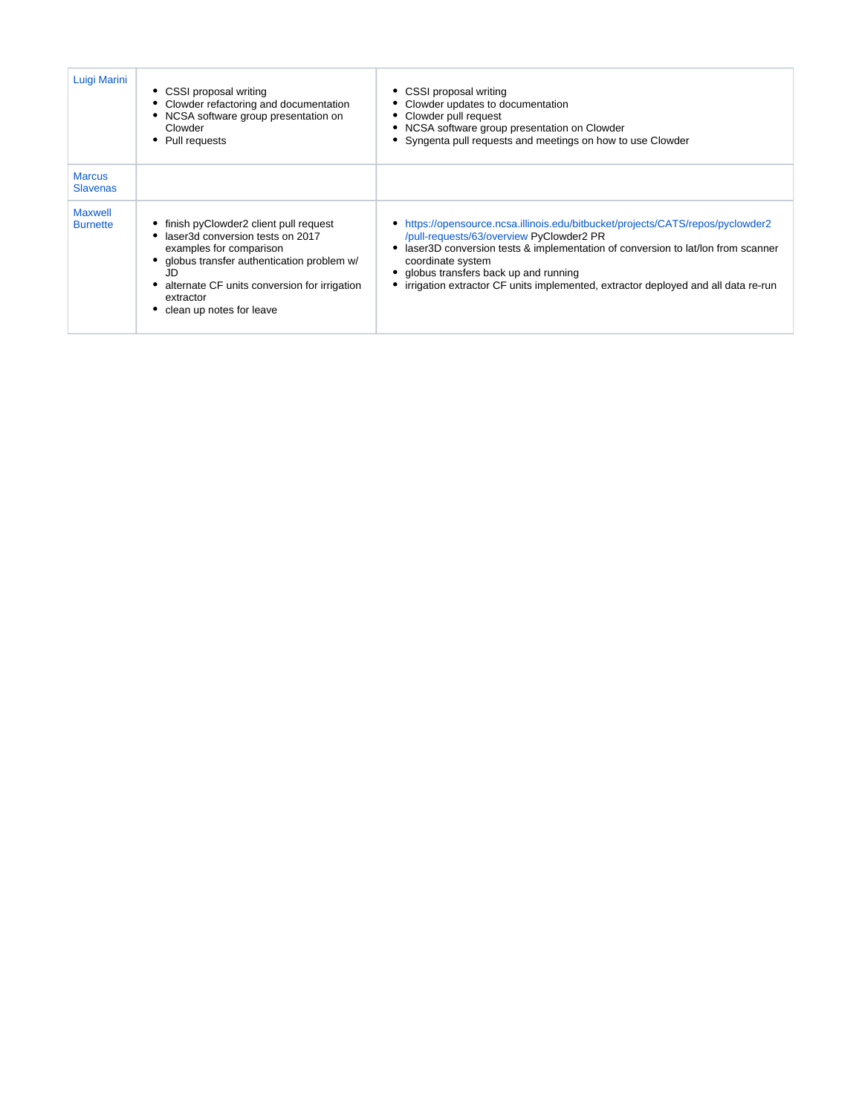| Luigi Marini                      | • CSSI proposal writing<br>• Clowder refactoring and documentation<br>NCSA software group presentation on<br>Clowder<br>Pull requests                                                                                                            | CSSI proposal writing<br>Clowder updates to documentation<br>Clowder pull request<br>NCSA software group presentation on Clowder<br>Syngenta pull requests and meetings on how to use Clowder                                                                                                                                                                    |
|-----------------------------------|--------------------------------------------------------------------------------------------------------------------------------------------------------------------------------------------------------------------------------------------------|------------------------------------------------------------------------------------------------------------------------------------------------------------------------------------------------------------------------------------------------------------------------------------------------------------------------------------------------------------------|
| <b>Marcus</b><br><b>Slavenas</b>  |                                                                                                                                                                                                                                                  |                                                                                                                                                                                                                                                                                                                                                                  |
| <b>Maxwell</b><br><b>Burnette</b> | finish pyClowder2 client pull request<br>laser3d conversion tests on 2017<br>examples for comparison<br>globus transfer authentication problem w/<br>JD<br>alternate CF units conversion for irrigation<br>extractor<br>clean up notes for leave | • https://opensource.ncsa.illinois.edu/bitbucket/projects/CATS/repos/pyclowder2<br>/pull-requests/63/overview PyClowder2 PR<br>laser3D conversion tests & implementation of conversion to lat/lon from scanner<br>coordinate system<br>globus transfers back up and running<br>irrigation extractor CF units implemented, extractor deployed and all data re-run |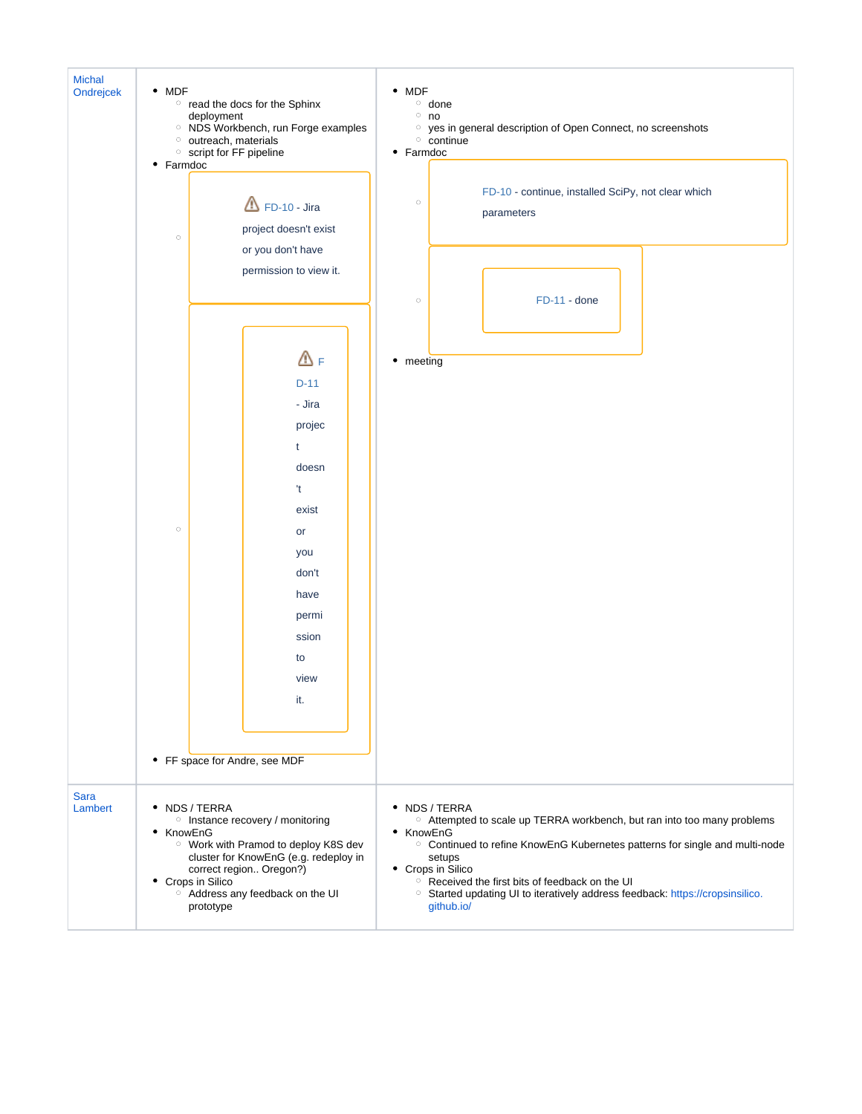